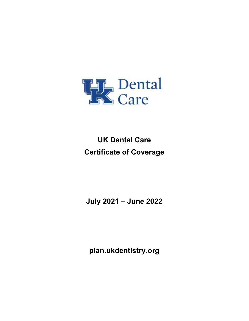

UK Dental Care Certificate of Coverage

July 2021 – June 2022

plan.ukdentistry.org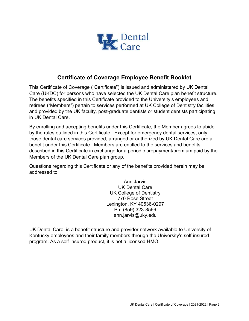

# Certificate of Coverage Employee Benefit Booklet

This Certificate of Coverage ("Certificate") is issued and administered by UK Dental Care (UKDC) for persons who have selected the UK Dental Care plan benefit structure. The benefits specified in this Certificate provided to the University's employees and retirees ("Members") pertain to services performed at UK College of Dentistry facilities and provided by the UK faculty, post-graduate dentists or student dentists participating in UK Dental Care.

By enrolling and accepting benefits under this Certificate, the Member agrees to abide by the rules outlined in this Certificate. Except for emergency dental services, only those dental care services provided, arranged or authorized by UK Dental Care are a benefit under this Certificate. Members are entitled to the services and benefits described in this Certificate in exchange for a periodic prepayment/premium paid by the Members of the UK Dental Care plan group.

Questions regarding this Certificate or any of the benefits provided herein may be addressed to:

> Ann Jarvis UK Dental Care UK College of Dentistry 770 Rose Street Lexington, KY 40536-0297 Ph: (859) 323-8566 ann.jarvis@uky.edu

UK Dental Care, is a benefit structure and provider network available to University of Kentucky employees and their family members through the University's self-insured program. As a self-insured product, it is not a licensed HMO.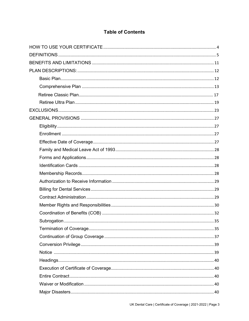# **Table of Contents**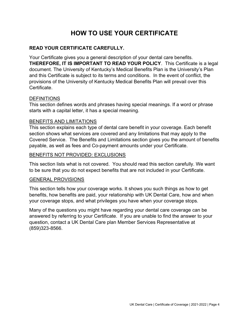# HOW TO USE YOUR CERTIFICATE

### READ YOUR CERTIFICATE CAREFULLY.

Your Certificate gives you a general description of your dental care benefits. THEREFORE, IT IS IMPORTANT TO READ YOUR POLICY. This Certificate is a legal document. The University of Kentucky's Medical Benefits Plan is the University's Plan and this Certificate is subject to its terms and conditions. In the event of conflict, the provisions of the University of Kentucky Medical Benefits Plan will prevail over this Certificate.

#### DEFINITIONS

This section defines words and phrases having special meanings. If a word or phrase starts with a capital letter, it has a special meaning.

#### BENEFITS AND LIMITATIONS

This section explains each type of dental care benefit in your coverage. Each benefit section shows what services are covered and any limitations that may apply to the Covered Service. The Benefits and Limitations section gives you the amount of benefits payable, as well as fees and Co-payment amounts under your Certificate.

#### BENEFITS NOT PROVIDED: EXCLUSIONS

This section lists what is not covered. You should read this section carefully. We want to be sure that you do not expect benefits that are not included in your Certificate.

#### GENERAL PROVISIONS

This section tells how your coverage works. It shows you such things as how to get benefits, how benefits are paid, your relationship with UK Dental Care, how and when your coverage stops, and what privileges you have when your coverage stops.

Many of the questions you might have regarding your dental care coverage can be answered by referring to your Certificate. If you are unable to find the answer to your question, contact a UK Dental Care plan Member Services Representative at (859)323-8566.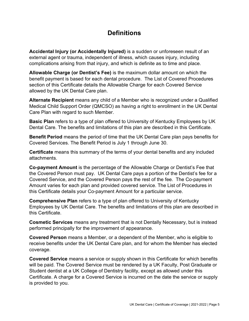# **Definitions**

Accidental Injury (or Accidentally Injured) is a sudden or unforeseen result of an external agent or trauma, independent of illness, which causes injury, including complications arising from that injury, and which is definite as to time and place.

Allowable Charge (or Dentist's Fee) is the maximum dollar amount on which the benefit payment is based for each dental procedure. The List of Covered Procedures section of this Certificate details the Allowable Charge for each Covered Service allowed by the UK Dental Care plan.

Alternate Recipient means any child of a Member who is recognized under a Qualified Medical Child Support Order (QMCSO) as having a right to enrollment in the UK Dental Care Plan with regard to such Member.

Basic Plan refers to a type of plan offered to University of Kentucky Employees by UK Dental Care. The benefits and limitations of this plan are described in this Certificate.

Benefit Period means the period of time that the UK Dental Care plan pays benefits for Covered Services. The Benefit Period is July 1 through June 30.

Certificate means this summary of the terms of your dental benefits and any included attachments.

Co-payment Amount is the percentage of the Allowable Charge or Dentist's Fee that the Covered Person must pay. UK Dental Care pays a portion of the Dentist's fee for a Covered Service, and the Covered Person pays the rest of the fee. The Co-payment Amount varies for each plan and provided covered service. The List of Procedures in this Certificate details your Co-payment Amount for a particular service.

Comprehensive Plan refers to a type of plan offered to University of Kentucky Employees by UK Dental Care. The benefits and limitations of this plan are described in this Certificate.

Cosmetic Services means any treatment that is not Dentally Necessary, but is instead performed principally for the improvement of appearance.

Covered Person means a Member, or a dependent of the Member, who is eligible to receive benefits under the UK Dental Care plan, and for whom the Member has elected coverage.

Covered Service means a service or supply shown in this Certificate for which benefits will be paid. The Covered Service must be rendered by a UK Faculty, Post Graduate or Student dentist at a UK College of Dentistry facility, except as allowed under this Certificate. A charge for a Covered Service is incurred on the date the service or supply is provided to you.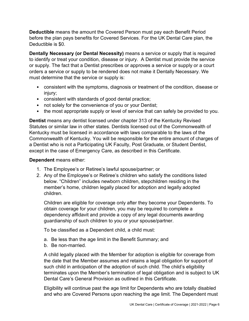Deductible means the amount the Covered Person must pay each Benefit Period before the plan pays benefits for Covered Services. For the UK Dental Care plan, the Deductible is \$0.

Dentally Necessary (or Dental Necessity) means a service or supply that is required to identify or treat your condition, disease or injury. A Dentist must provide the service or supply. The fact that a Dentist prescribes or approves a service or supply or a court orders a service or supply to be rendered does not make it Dentally Necessary. We must determine that the service or supply is:

- consistent with the symptoms, diagnosis or treatment of the condition, disease or injury;
- consistent with standards of good dental practice;
- not solely for the convenience of you or your Dentist;
- the most appropriate supply or level of service that can safely be provided to you.

Dentist means any dentist licensed under chapter 313 of the Kentucky Revised Statutes or similar law in other states. Dentists licensed out of the Commonwealth of Kentucky must be licensed in accordance with laws comparable to the laws of the Commonwealth of Kentucky. You will be responsible for the entire amount of charges of a Dentist who is not a Participating UK Faculty, Post Graduate, or Student Dentist, except in the case of Emergency Care, as described in this Certificate.

#### Dependent means either:

- 1. The Employee's or Retiree's lawful spouse/partner; or
- 2. Any of the Employee's or Retiree's children who satisfy the conditions listed below. "Children" includes newborn children, stepchildren residing in the member's home, children legally placed for adoption and legally adopted children.

Children are eligible for coverage only after they become your Dependents. To obtain coverage for your children, you may be required to complete a dependency affidavit and provide a copy of any legal documents awarding guardianship of such children to you or your spouse/partner.

To be classified as a Dependent child, a child must:

- a. Be less than the age limit in the Benefit Summary; and
- b. Be non-married.

A child legally placed with the Member for adoption is eligible for coverage from the date that the Member assumes and retains a legal obligation for support of such child in anticipation of the adoption of such child. The child's eligibility terminates upon the Member's termination of legal obligation and is subject to UK Dental Care's General Provision as outlined in this Certificate.

Eligibility will continue past the age limit for Dependents who are totally disabled and who are Covered Persons upon reaching the age limit. The Dependent must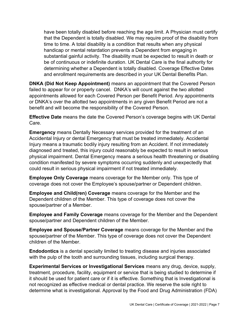have been totally disabled before reaching the age limit. A Physician must certify that the Dependent is totally disabled. We may require proof of the disability from time to time. A total disability is a condition that results when any physical handicap or mental retardation prevents a Dependent from engaging in substantial gainful activity. The disability must be expected to result in death or be of continuous or indefinite duration. UK Dental Care is the final authority for determining whether a Dependent is totally disabled. Coverage Effective Dates and enrollment requirements are described in your UK Dental Benefits Plan.

DNKA (Did Not Keep Appointment) means an appointment that the Covered Person failed to appear for or properly cancel. DNKA's will count against the two allotted appointments allowed for each Covered Person per Benefit Period. Any appointments or DNKA's over the allotted two appointments in any given Benefit Period are not a benefit and will become the responsibility of the Covered Person.

Effective Date means the date the Covered Person's coverage begins with UK Dental Care.

Emergency means Dentally Necessary services provided for the treatment of an Accidental Injury or dental Emergency that must be treated immediately. Accidental Injury means a traumatic bodily injury resulting from an Accident. If not immediately diagnosed and treated, this injury could reasonably be expected to result in serious physical impairment. Dental Emergency means a serious health threatening or disabling condition manifested by severe symptoms occurring suddenly and unexpectedly that could result in serious physical impairment if not treated immediately.

Employee Only Coverage means coverage for the Member only. This type of coverage does not cover the Employee's spouse/partner or Dependent children.

Employee and Child(ren) Coverage means coverage for the Member and the Dependent children of the Member. This type of coverage does not cover the spouse/partner of a Member.

Employee and Family Coverage means coverage for the Member and the Dependent spouse/partner and Dependent children of the Member.

Employee and Spouse/Partner Coverage means coverage for the Member and the spouse/partner of the Member. This type of coverage does not cover the Dependent children of the Member.

Endodontics is a dental specialty limited to treating disease and injuries associated with the pulp of the tooth and surrounding tissues, including surgical therapy.

Experimental Services or Investigational Services means any drug, device, supply, treatment, procedure, facility, equipment or service that is being studied to determine if it should be used for patient care or if it is effective. Something that is Investigational is not recognized as effective medical or dental practice. We reserve the sole right to determine what is investigational. Approval by the Food and Drug Administration (FDA)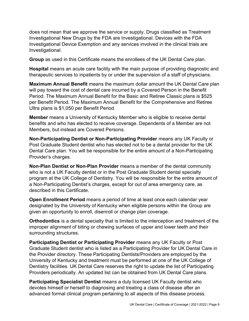does not mean that we approve the service or supply. Drugs classified as Treatment Investigational New Drugs by the FDA are Investigational. Devices with the FDA Investigational Device Exemption and any services involved in the clinical trials are Investigational.

Group as used in this Certificate means the enrollees of the UK Dental Care plan.

Hospital means an acute care facility with the main purpose of providing diagnostic and therapeutic services to inpatients by or under the supervision of a staff of physicians.

Maximum Annual Benefit means the maximum dollar amount the UK Dental Care plan will pay toward the cost of dental care incurred by a Covered Person in the Benefit Period. The Maximum Annual Benefit for the Basic and Retiree Classic plans is \$525 per Benefit Period. The Maximum Annual Benefit for the Comprehensive and Retiree Ultra plans is \$1,050 per Benefit Period.

Member means a University of Kentucky Member who is eligible to receive dental benefits and who has elected to receive coverage. Dependents of a Member are not Members, but instead are Covered Persons.

Non-Participating Dentist or Non-Participating Provider means any UK Faculty or Post Graduate Student dentist who has elected not to be a dental provider for the UK Dental Care plan. You will be responsible for the entire amount of a Non-Participating Provider's charges.

Non-Plan Dentist or Non-Plan Provider means a member of the dental community who is not a UK Faculty dentist or in the Post Graduate Student dental specialty program at the UK College of Dentistry. You will be responsible for the entire amount of a Non-Participating Dentist's charges, except for out of area emergency care, as described in this Certificate.

Open Enrollment Period means a period of time at least once each calendar year designated by the University of Kentucky when eligible persons within the Group are given an opportunity to enroll, disenroll or change plan coverage.

Orthodontics is a dental specialty that is limited to the interception and treatment of the improper alignment of biting or chewing surfaces of upper and lower teeth and their surrounding structures.

Participating Dentist or Participating Provider means any UK Faculty or Post Graduate Student dentist who is listed as a Participating Provider for UK Dental Care in the Provider directory. These Participating Dentists/Providers are employed by the University of Kentucky and treatment must be performed at one of the UK College of Dentistry facilities. UK Dental Care reserves the right to update the list of Participating Providers periodically. An updated list can be obtained from UK Dental Care plans.

Participating Specialist Dentist means a duly licensed UK Faculty dentist who devotes himself or herself to diagnosing and treating a class of disease after an advanced formal clinical program pertaining to all aspects of this disease process.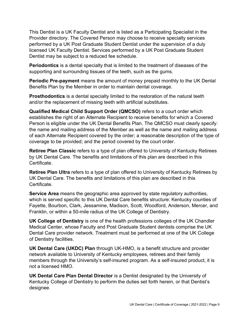This Dentist is a UK Faculty Dentist and is listed as a Participating Specialist in the Provider directory. The Covered Person may choose to receive specialty services performed by a UK Post Graduate Student Dentist under the supervision of a duly licensed UK Faculty Dentist. Services performed by a UK Post Graduate Student Dentist may be subject to a reduced fee schedule.

Periodontics is a dental specialty that is limited to the treatment of diseases of the supporting and surrounding tissues of the teeth, such as the gums.

**Periodic Pre-payment** means the amount of money prepaid monthly to the UK Dental Benefits Plan by the Member in order to maintain dental coverage.

Prosthodontics is a dental specialty limited to the restoration of the natural teeth and/or the replacement of missing teeth with artificial substitutes.

Qualified Medical Child Support Order (QMCSO) refers to a court order which establishes the right of an Alternate Recipient to receive benefits for which a Covered Person is eligible under the UK Dental Benefits Plan. The QMCSO must clearly specify: the name and mailing address of the Member as well as the name and mailing address of each Alternate Recipient covered by the order; a reasonable description of the type of coverage to be provided; and the period covered by the court order.

Retiree Plan Classic refers to a type of plan offered to University of Kentucky Retirees by UK Dental Care. The benefits and limitations of this plan are described in this Certificate.

Retiree Plan Ultra refers to a type of plan offered to University of Kentucky Retirees by UK Dental Care. The benefits and limitations of this plan are described in this Certificate.

Service Area means the geographic area approved by state regulatory authorities, which is served specific to this UK Dental Care benefits structure: Kentucky counties of Fayette, Bourbon, Clark, Jessamine, Madison, Scott, Woodford, Anderson, Mercer, and Franklin, or within a 50-mile radius of the UK College of Dentistry.

UK College of Dentistry is one of the health professions colleges of the UK Chandler Medical Center, whose Faculty and Post Graduate Student dentists comprise the UK Dental Care provider network. Treatment must be performed at one of the UK College of Dentistry facilities.

UK Dental Care (UKDC) Plan through UK-HMO, is a benefit structure and provider network available to University of Kentucky employees, retirees and their family members through the University's self-insured program. As a self-insured product, it is not a licensed HMO.

UK Dental Care Plan Dental Director is a Dentist designated by the University of Kentucky College of Dentistry to perform the duties set forth herein, or that Dentist's designee.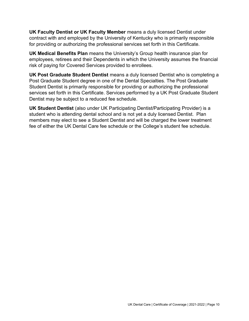UK Faculty Dentist or UK Faculty Member means a duly licensed Dentist under contract with and employed by the University of Kentucky who is primarily responsible for providing or authorizing the professional services set forth in this Certificate.

UK Medical Benefits Plan means the University's Group health insurance plan for employees, retirees and their Dependents in which the University assumes the financial risk of paying for Covered Services provided to enrollees.

UK Post Graduate Student Dentist means a duly licensed Dentist who is completing a Post Graduate Student degree in one of the Dental Specialties. The Post Graduate Student Dentist is primarily responsible for providing or authorizing the professional services set forth in this Certificate. Services performed by a UK Post Graduate Student Dentist may be subject to a reduced fee schedule.

UK Student Dentist (also under UK Participating Dentist/Participating Provider) is a student who is attending dental school and is not yet a duly licensed Dentist. Plan members may elect to see a Student Dentist and will be charged the lower treatment fee of either the UK Dental Care fee schedule or the College's student fee schedule.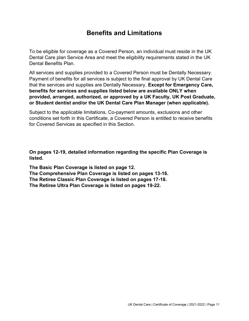# Benefits and Limitations

To be eligible for coverage as a Covered Person, an individual must reside in the UK Dental Care plan Service Area and meet the eligibility requirements stated in the UK Dental Benefits Plan.

All services and supplies provided to a Covered Person must be Dentally Necessary. Payment of benefits for all services is subject to the final approval by UK Dental Care that the services and supplies are Dentally Necessary. Except for Emergency Care, benefits for services and supplies listed below are available ONLY when provided, arranged, authorized, or approved by a UK Faculty, UK Post Graduate, or Student dentist and/or the UK Dental Care Plan Manager (when applicable).

Subject to the applicable limitations, Co-payment amounts, exclusions and other conditions set forth in this Certificate, a Covered Person is entitled to receive benefits for Covered Services as specified in this Section.

On pages 12-19, detailed information regarding the specific Plan Coverage is listed.

The Basic Plan Coverage is listed on page 12. The Comprehensive Plan Coverage is listed on pages 13-16. The Retiree Classic Plan Coverage is listed on pages 17-18. The Retiree Ultra Plan Coverage is listed on pages 19-22.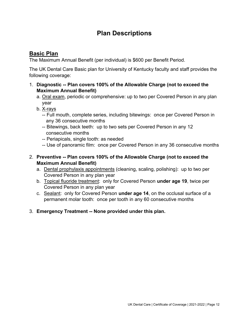# Plan Descriptions

# Basic Plan

The Maximum Annual Benefit (per individual) is \$600 per Benefit Period.

The UK Dental Care Basic plan for University of Kentucky faculty and staff provides the following coverage:

- 1. Diagnostic -- Plan covers 100% of the Allowable Charge (not to exceed the Maximum Annual Benefit)
	- a. Oral exam, periodic or comprehensive: up to two per Covered Person in any plan year
	- b. X-rays
		- -- Full mouth, complete series, including bitewings: once per Covered Person in any 36 consecutive months
		- -- Bitewings, back teeth: up to two sets per Covered Person in any 12 consecutive months
		- -- Periapicals, single tooth: as needed
		- -- Use of panoramic film: once per Covered Person in any 36 consecutive months
- 2. Preventive -- Plan covers 100% of the Allowable Charge (not to exceed the Maximum Annual Benefit)
	- a. Dental prophylaxis appointments (cleaning, scaling, polishing): up to two per Covered Person in any plan year
	- b. Topical fluoride treatment: only for Covered Person under age 19, twice per Covered Person in any plan year
	- c. Sealant: only for Covered Person under age 14, on the occlusal surface of a permanent molar tooth: once per tooth in any 60 consecutive months
- 3. Emergency Treatment -- None provided under this plan.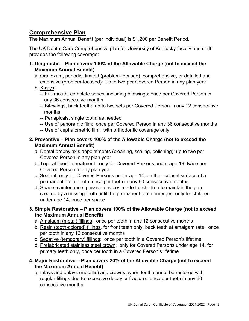## Comprehensive Plan

The Maximum Annual Benefit (per individual) is \$1,200 per Benefit Period.

The UK Dental Care Comprehensive plan for University of Kentucky faculty and staff provides the following coverage:

- 1. Diagnostic Plan covers 100% of the Allowable Charge (not to exceed the Maximum Annual Benefit)
	- a. Oral exam, periodic, limited (problem-focused), comprehensive, or detailed and extensive (problem-focused): up to two per Covered Person in any plan year
	- b. X-rays:
		- -- Full mouth, complete series, including bitewings: once per Covered Person in any 36 consecutive months
		- -- Bitewings, back teeth: up to two sets per Covered Person in any 12 consecutive months
		- -- Periapicals, single tooth: as needed
		- -- Use of panoramic film: once per Covered Person in any 36 consecutive months
		- -- Use of cephalometric film: with orthodontic coverage only
- 2. Preventive Plan covers 100% of the Allowable Charge (not to exceed the Maximum Annual Benefit)
	- a. Dental prophylaxis appointments (cleaning, scaling, polishing): up to two per Covered Person in any plan year
	- b. Topical fluoride treatment: only for Covered Persons under age 19, twice per Covered Person in any plan year
	- c. Sealant: only for Covered Persons under age 14, on the occlusal surface of a permanent molar tooth, once per tooth in any 60 consecutive months
	- d. Space maintenance, passive devices made for children to maintain the gap created by a missing tooth until the permanent tooth emerges: only for children under age 14, once per space
- 3. Simple Restorative Plan covers 100% of the Allowable Charge (not to exceed the Maximum Annual Benefit)
	- a. Amalgam (metal) fillings: once per tooth in any 12 consecutive months
	- b. Resin (tooth-colored) fillings, for front teeth only, back teeth at amalgam rate: once per tooth in any 12 consecutive months
	- c. Sedative (temporary) fillings: once per tooth in a Covered Person's lifetime
	- d. Prefabricated stainless steel crown: only for Covered Persons under age 14, for primary teeth only, once per tooth in a Covered Person's lifetime
- 4. Major Restorative Plan covers 20% of the Allowable Charge (not to exceed the Maximum Annual Benefit)
	- a. Inlays and onlays (metallic) and crowns, when tooth cannot be restored with regular fillings due to excessive decay or fracture: once per tooth in any 60 consecutive months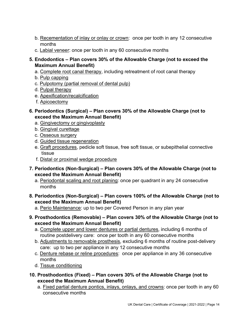- b. Recementation of inlay or onlay or crown: once per tooth in any 12 consecutive months
- c. Labial veneer: once per tooth in any 60 consecutive months
- 5. Endodontics Plan covers 30% of the Allowable Charge (not to exceed the Maximum Annual Benefit)
	- a. Complete root canal therapy, including retreatment of root canal therapy
	- b. Pulp capping
	- c. Pulpotomy (partial removal of dental pulp)
	- d. Pulpal therapy
	- e. Apexification/recalcification
	- f. Apicoectomy
- 6. Periodontics (Surgical) Plan covers 30% of the Allowable Charge (not to exceed the Maximum Annual Benefit)
	- a. Gingivectomy or gingivoplasty
	- b. Gingival curettage
	- c. Osseous surgery
	- d. Guided tissue regeneration
	- e. Graft procedures, pedicle soft tissue, free soft tissue, or subepithelial connective tissue
	- f. Distal or proximal wedge procedure
- 7. Periodontics (Non-Surgical) Plan covers 30% of the Allowable Charge (not to exceed the Maximum Annual Benefit)
	- a. Periodontal scaling and root planing: once per quadrant in any 24 consecutive months
- 8. Periodontics (Non-Surgical) Plan covers 100% of the Allowable Charge (not to exceed the Maximum Annual Benefit)
	- a. Perio Maintenance: up to two per Covered Person in any plan year
- 9. Prosthodontics (Removable) Plan covers 30% of the Allowable Charge (not to exceed the Maximum Annual Benefit)
	- a. Complete upper and lower dentures or partial dentures, including 6 months of routine postdelivery care: once per tooth in any 60 consecutive months
	- b. Adjustments to removable prosthesis, excluding 6 months of routine post-delivery care: up to two per appliance in any 12 consecutive months
	- c. Denture rebase or reline procedures: once per appliance in any 36 consecutive months
	- d. Tissue conditioning
- 10. Prosthodontics (Fixed) Plan covers 30% of the Allowable Charge (not to exceed the Maximum Annual Benefit)
	- a. Fixed partial denture pontics, inlays, onlays, and crowns: once per tooth in any 60 consecutive months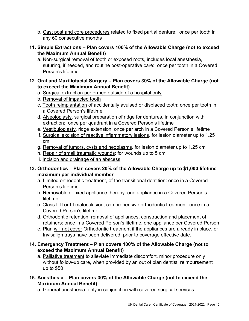- b. Cast post and core procedures related to fixed partial denture: once per tooth in any 60 consecutive months
- 11. Simple Extractions Plan covers 100% of the Allowable Charge (not to exceed the Maximum Annual Benefit)
	- a. Non-surgical removal of tooth or exposed roots, includes local anesthesia, suturing, if needed, and routine post-operative care: once per tooth in a Covered Person's lifetime

### 12. Oral and Maxillofacial Surgery – Plan covers 30% of the Allowable Charge (not to exceed the Maximum Annual Benefit)

- a. Surgical extraction performed outside of a hospital only
- b. Removal of impacted tooth
- c. Tooth reimplantation of accidentally avulsed or displaced tooth: once per tooth in a Covered Person's lifetime
- d. Alveoloplasty, surgical preparation of ridge for dentures, in conjunction with extraction: once per quadrant in a Covered Person's lifetime
- e. Vestibuloplasty, ridge extension: once per arch in a Covered Person's lifetime
- f. Surgical excision of reactive inflammatory lesions, for lesion diameter up to 1.25 cm
- g. Removal of tumors, cysts and neoplasms, for lesion diameter up to 1.25 cm
- h. Repair of small traumatic wounds: for wounds up to 5 cm
- i. Incision and drainage of an abscess

### 13. Orthodontics - Plan covers 20% of the Allowable Charge up to \$1,000 lifetime maximum per individual member

- a. Limited orthodontic treatment, of the transitional dentition: once in a Covered Person's lifetime
- b. Removable or fixed appliance therapy: one appliance in a Covered Person's lifetime
- c. Class I, II or III malocclusion, comprehensive orthodontic treatment: once in a Covered Person's lifetime
- d. Orthodontic retention, removal of appliances, construction and placement of retainers: once in a Covered Person's lifetime, one appliance per Covered Person
- e. Plan will not cover Orthodontic treatment if the appliances are already in place, or Invisalign trays have been delivered, prior to coverage effective date.

### 14. Emergency Treatment – Plan covers 100% of the Allowable Charge (not to exceed the Maximum Annual Benefit)

 a. Palliative treatment to alleviate immediate discomfort, minor procedure only without follow-up care, when provided by an out of plan dentist, reimbursement up to \$50

### 15. Anesthesia – Plan covers 30% of the Allowable Charge (not to exceed the Maximum Annual Benefit)

a. General anesthesia, only in conjunction with covered surgical services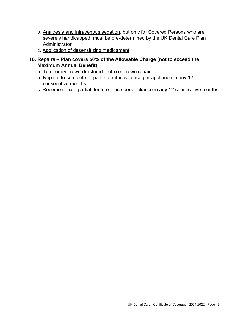- b. Analgesia and intravenous sedation, but only for Covered Persons who are severely handicapped, must be pre-determined by the UK Dental Care Plan **Administrator**
- c. Application of desensitizing medicament
- 16. Repairs Plan covers 50% of the Allowable Charge (not to exceed the Maximum Annual Benefit)
	- a. Temporary crown (fractured tooth) or crown repair
	- b. Repairs to complete or partial dentures: once per appliance in any 12 consecutive months
	- c. Recement fixed partial denture: once per appliance in any 12 consecutive months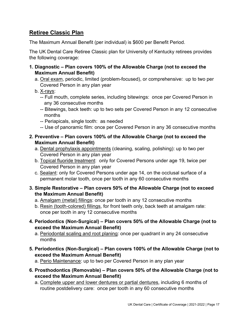# Retiree Classic Plan

The Maximum Annual Benefit (per individual) is \$600 per Benefit Period.

The UK Dental Care Retiree Classic plan for University of Kentucky retirees provides the following coverage:

- 1. Diagnostic Plan covers 100% of the Allowable Charge (not to exceed the Maximum Annual Benefit)
	- a. Oral exam, periodic, limited (problem-focused), or comprehensive: up to two per Covered Person in any plan year
	- b. X-rays:
		- -- Full mouth, complete series, including bitewings: once per Covered Person in any 36 consecutive months
		- -- Bitewings, back teeth: up to two sets per Covered Person in any 12 consecutive months
		- -- Periapicals, single tooth: as needed
		- -- Use of panoramic film: once per Covered Person in any 36 consecutive months
- 2. Preventive Plan covers 100% of the Allowable Charge (not to exceed the Maximum Annual Benefit)
	- a. Dental prophylaxis appointments (cleaning, scaling, polishing): up to two per Covered Person in any plan year
	- b. Topical fluoride treatment: only for Covered Persons under age 19, twice per Covered Person in any plan year
	- c. Sealant: only for Covered Persons under age 14, on the occlusal surface of a permanent molar tooth, once per tooth in any 60 consecutive months
- 3. Simple Restorative Plan covers 50% of the Allowable Charge (not to exceed the Maximum Annual Benefit)
	- a. Amalgam (metal) fillings: once per tooth in any 12 consecutive months
	- b. Resin (tooth-colored) fillings, for front teeth only, back teeth at amalgam rate: once per tooth in any 12 consecutive months
- 4. Periodontics (Non-Surgical) Plan covers 50% of the Allowable Charge (not to exceed the Maximum Annual Benefit)
	- a. Periodontal scaling and root planing: once per quadrant in any 24 consecutive months
- 5. Periodontics (Non-Surgical) Plan covers 100% of the Allowable Charge (not to exceed the Maximum Annual Benefit)

a. Perio Maintenance: up to two per Covered Person in any plan year

- 6. Prosthodontics (Removable) Plan covers 50% of the Allowable Charge (not to exceed the Maximum Annual Benefit)
	- a. Complete upper and lower dentures or partial dentures, including 6 months of routine postdelivery care: once per tooth in any 60 consecutive months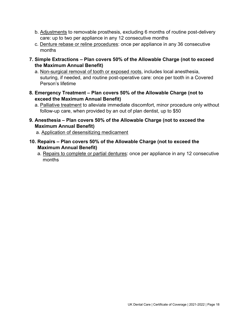- b. Adjustments to removable prosthesis, excluding 6 months of routine post-delivery care: up to two per appliance in any 12 consecutive months
- c. Denture rebase or reline procedures: once per appliance in any 36 consecutive months
- 7. Simple Extractions Plan covers 50% of the Allowable Charge (not to exceed the Maximum Annual Benefit)
	- a. Non-surgical removal of tooth or exposed roots, includes local anesthesia, suturing, if needed, and routine post-operative care: once per tooth in a Covered Person's lifetime
- 8. Emergency Treatment Plan covers 50% of the Allowable Charge (not to exceed the Maximum Annual Benefit)
	- a. Palliative treatment to alleviate immediate discomfort, minor procedure only without follow-up care, when provided by an out of plan dentist, up to \$50
- 9. Anesthesia Plan covers 50% of the Allowable Charge (not to exceed the Maximum Annual Benefit)
	- a. Application of desensitizing medicament
- 10. Repairs Plan covers 50% of the Allowable Charge (not to exceed the Maximum Annual Benefit)
	- a. Repairs to complete or partial dentures: once per appliance in any 12 consecutive months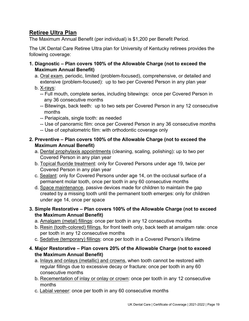# Retiree Ultra Plan

The Maximum Annual Benefit (per individual) is \$1,200 per Benefit Period.

The UK Dental Care Retiree Ultra plan for University of Kentucky retirees provides the following coverage:

- 1. Diagnostic Plan covers 100% of the Allowable Charge (not to exceed the Maximum Annual Benefit)
	- a. Oral exam, periodic, limited (problem-focused), comprehensive, or detailed and extensive (problem-focused): up to two per Covered Person in any plan year
	- b. X-rays:
		- -- Full mouth, complete series, including bitewings: once per Covered Person in any 36 consecutive months
		- -- Bitewings, back teeth: up to two sets per Covered Person in any 12 consecutive months
		- -- Periapicals, single tooth: as needed
		- -- Use of panoramic film: once per Covered Person in any 36 consecutive months
		- -- Use of cephalometric film: with orthodontic coverage only

### 2. Preventive – Plan covers 100% of the Allowable Charge (not to exceed the Maximum Annual Benefit)

- a. Dental prophylaxis appointments (cleaning, scaling, polishing): up to two per Covered Person in any plan year
- b. Topical fluoride treatment: only for Covered Persons under age 19, twice per Covered Person in any plan year
- c. Sealant: only for Covered Persons under age 14, on the occlusal surface of a permanent molar tooth, once per tooth in any 60 consecutive months
- d. Space maintenance, passive devices made for children to maintain the gap created by a missing tooth until the permanent tooth emerges: only for children under age 14, once per space
- 3. Simple Restorative Plan covers 100% of the Allowable Charge (not to exceed the Maximum Annual Benefit)
	- a. Amalgam (metal) fillings: once per tooth in any 12 consecutive months
	- b. Resin (tooth-colored) fillings, for front teeth only, back teeth at amalgam rate: once per tooth in any 12 consecutive months
	- c. Sedative (temporary) fillings: once per tooth in a Covered Person's lifetime
- 4. Major Restorative Plan covers 20% of the Allowable Charge (not to exceed the Maximum Annual Benefit)
	- a. Inlays and onlays (metallic) and crowns, when tooth cannot be restored with regular fillings due to excessive decay or fracture: once per tooth in any 60 consecutive months
	- b. Recementation of inlay or onlay or crown: once per tooth in any 12 consecutive months
	- c. Labial veneer: once per tooth in any 60 consecutive months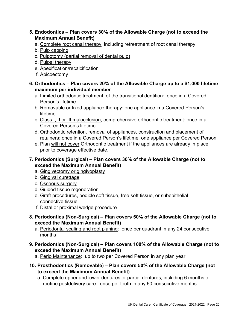### 5. Endodontics – Plan covers 30% of the Allowable Charge (not to exceed the Maximum Annual Benefit)

- a. Complete root canal therapy, including retreatment of root canal therapy
- b. Pulp capping
- c. Pulpotomy (partial removal of dental pulp)
- d. Pulpal therapy
- e. Apexification/recalcification
- f. Apicoectomy
- 6. Orthodontics Plan covers 20% of the Allowable Charge up to a \$1,000 lifetime maximum per individual member
	- a. Limited orthodontic treatment, of the transitional dentition: once in a Covered Person's lifetime
	- b. Removable or fixed appliance therapy: one appliance in a Covered Person's lifetime
	- c. Class I, II or III malocclusion, comprehensive orthodontic treatment: once in a Covered Person's lifetime
	- d. Orthodontic retention, removal of appliances, construction and placement of retainers: once in a Covered Person's lifetime, one appliance per Covered Person
	- e. Plan will not cover Orthodontic treatment if the appliances are already in place prior to coverage effective date.
- 7. Periodontics (Surgical) Plan covers 30% of the Allowable Charge (not to exceed the Maximum Annual Benefit)
	- a. Gingivectomy or gingivoplasty
	- b. Gingival curettage
	- c. Osseous surgery
	- d. Guided tissue regeneration
	- e. Graft procedures, pedicle soft tissue, free soft tissue, or subepithelial connective tissue
	- f. Distal or proximal wedge procedure
- 8. Periodontics (Non-Surgical) Plan covers 50% of the Allowable Charge (not to exceed the Maximum Annual Benefit)
	- a. Periodontal scaling and root planing: once per quadrant in any 24 consecutive months
- 9. Periodontics (Non-Surgical) Plan covers 100% of the Allowable Charge (not to exceed the Maximum Annual Benefit)
	- a. Perio Maintenance: up to two per Covered Person in any plan year
- 10. Prosthodontics (Removable) Plan covers 50% of the Allowable Charge (not to exceed the Maximum Annual Benefit)
	- a. Complete upper and lower dentures or partial dentures, including 6 months of routine postdelivery care: once per tooth in any 60 consecutive months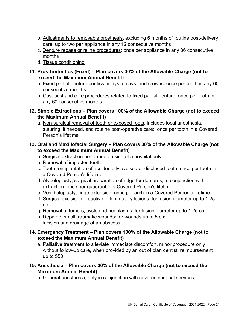- b. Adjustments to removable prosthesis, excluding 6 months of routine post-delivery care: up to two per appliance in any 12 consecutive months
- c. Denture rebase or reline procedures: once per appliance in any 36 consecutive months
- d. Tissue conditioning
- 11. Prosthodontics (Fixed) Plan covers 30% of the Allowable Charge (not to exceed the Maximum Annual Benefit)
	- a. Fixed partial denture pontics, inlays, onlays, and crowns: once per tooth in any 60 consecutive months
	- b. Cast post and core procedures related to fixed partial denture: once per tooth in any 60 consecutive months
- 12. Simple Extractions Plan covers 100% of the Allowable Charge (not to exceed the Maximum Annual Benefit)
	- a. Non-surgical removal of tooth or exposed roots, includes local anesthesia, suturing, if needed, and routine post-operative care: once per tooth in a Covered Person's lifetime

### 13. Oral and Maxillofacial Surgery – Plan covers 30% of the Allowable Charge (not to exceed the Maximum Annual Benefit)

- a. Surgical extraction performed outside of a hospital only
- b. Removal of impacted tooth
- c. Tooth reimplantation of accidentally avulsed or displaced tooth: once per tooth in a Covered Person's lifetime
- d. Alveoloplasty, surgical preparation of ridge for dentures, in conjunction with extraction: once per quadrant in a Covered Person's lifetime
- e. Vestibuloplasty, ridge extension: once per arch in a Covered Person's lifetime
- f. Surgical excision of reactive inflammatory lesions: for lesion diameter up to 1.25 cm
- g. Removal of tumors, cysts and neoplasms: for lesion diameter up to 1.25 cm
- h. Repair of small traumatic wounds: for wounds up to 5 cm
- i. Incision and drainage of an abscess
- 14. Emergency Treatment Plan covers 100% of the Allowable Charge (not to exceed the Maximum Annual Benefit)
	- a. Palliative treatment to alleviate immediate discomfort, minor procedure only without follow-up care, when provided by an out of plan dentist, reimbursement up to \$50
- 15. Anesthesia Plan covers 30% of the Allowable Charge (not to exceed the Maximum Annual Benefit)
	- a. General anesthesia, only in conjunction with covered surgical services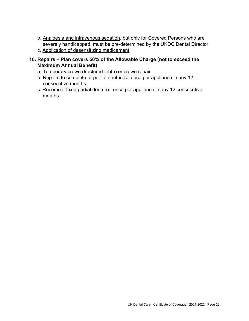- b. Analgesia and intravenous sedation, but only for Covered Persons who are severely handicapped, must be pre-determined by the UKDC Dental Director
- c. Application of desensitizing medicament
- 16. Repairs Plan covers 50% of the Allowable Charge (not to exceed the Maximum Annual Benefit)
	- a. Temporary crown (fractured tooth) or crown repair
	- b. Repairs to complete or partial dentures: once per appliance in any 12 consecutive months
	- c. Recement fixed partial denture: once per appliance in any 12 consecutive months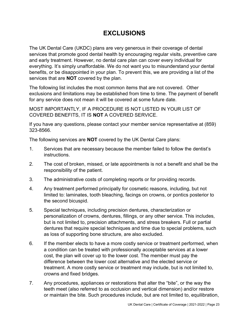# EXCLUSIONS

The UK Dental Care (UKDC) plans are very generous in their coverage of dental services that promote good dental health by encouraging regular visits, preventive care and early treatment. However, no dental care plan can cover every individual for everything. It's simply unaffordable. We do not want you to misunderstand your dental benefits, or be disappointed in your plan. To prevent this, we are providing a list of the services that are **NOT** covered by the plan.

The following list includes the most common items that are not covered. Other exclusions and limitations may be established from time to time. The payment of benefit for any service does not mean it will be covered at some future date.

MOST IMPORTANTLY, IF A PROCEDURE IS NOT LISTED IN YOUR LIST OF COVERED BENEFITS, IT IS NOT A COVERED SERVICE.

If you have any questions, please contact your member service representative at (859) 323-8566.

The following services are NOT covered by the UK Dental Care plans:

- 1. Services that are necessary because the member failed to follow the dentist's instructions.
- 2. The cost of broken, missed, or late appointments is not a benefit and shall be the responsibility of the patient.
- 3. The administrative costs of completing reports or for providing records.
- 4. Any treatment performed principally for cosmetic reasons, including, but not limited to: laminates, tooth bleaching, facings on crowns, or pontics posterior to the second bicuspid.
- 5. Special techniques, including precision dentures, characterization or personalization of crowns, dentures, fillings, or any other service. This includes, but is not limited to, precision attachments, and stress breakers. Full or partial dentures that require special techniques and time due to special problems, such as loss of supporting bone structure, are also excluded.
- 6. If the member elects to have a more costly service or treatment performed, when a condition can be treated with professionally acceptable services at a lower cost, the plan will cover up to the lower cost. The member must pay the difference between the lower cost alternative and the elected service or treatment. A more costly service or treatment may include, but is not limited to, crowns and fixed bridges.
- 7. Any procedures, appliances or restorations that alter the "bite", or the way the teeth meet (also referred to as occlusion and vertical dimension) and/or restore or maintain the bite. Such procedures include, but are not limited to, equilibration,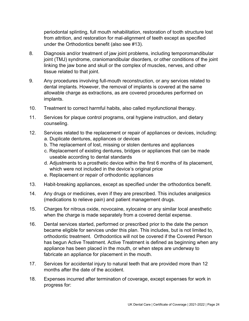periodontal splinting, full mouth rehabilitation, restoration of tooth structure lost from attrition, and restoration for mal-alignment of teeth except as specified under the Orthodontics benefit (also see #13).

- 8. Diagnosis and/or treatment of jaw joint problems, including temporomandibular joint (TMJ) syndrome, craniomandibular disorders, or other conditions of the joint linking the jaw bone and skull or the complex of muscles, nerves, and other tissue related to that joint.
- 9. Any procedures involving full-mouth reconstruction, or any services related to dental implants. However, the removal of implants is covered at the same allowable charge as extractions, as are covered procedures performed on implants.
- 10. Treatment to correct harmful habits, also called myofunctional therapy.
- 11. Services for plaque control programs, oral hygiene instruction, and dietary counseling.
- 12. Services related to the replacement or repair of appliances or devices, including: a. Duplicate dentures, appliances or devices
	- b. The replacement of lost, missing or stolen dentures and appliances
	- c. Replacement of existing dentures, bridges or appliances that can be made useable according to dental standards
	- d. Adjustments to a prosthetic device within the first 6 months of its placement, which were not included in the device's original price
	- e. Replacement or repair of orthodontic appliances
- 13. Habit-breaking appliances, except as specified under the orthodontics benefit.
- 14. Any drugs or medicines, even if they are prescribed. This includes analgesics (medications to relieve pain) and patient management drugs.
- 15. Charges for nitrous oxide, novocaine, xylocaine or any similar local anesthetic when the charge is made separately from a covered dental expense.
- 16. Dental services started, performed or prescribed prior to the date the person became eligible for services under this plan. This includes, but is not limited to, orthodontic treatment. Orthodontics will not be covered if the Covered Person has begun Active Treatment. Active Treatment is defined as beginning when any appliance has been placed in the mouth, or when steps are underway to fabricate an appliance for placement in the mouth.
- 17. Services for accidental injury to natural teeth that are provided more than 12 months after the date of the accident.
- 18. Expenses incurred after termination of coverage, except expenses for work in progress for: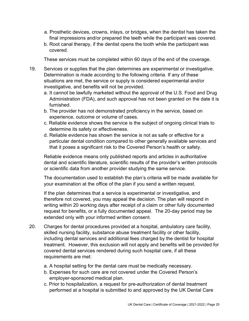- a. Prosthetic devices, crowns, inlays, or bridges, when the dentist has taken the final impressions and/or prepared the teeth while the participant was covered.
- b. Root canal therapy, if the dentist opens the tooth while the participant was covered.

These services must be completed within 60 days of the end of the coverage.

- 19. Services or supplies that the plan determines are experimental or investigative. Determination is made according to the following criteria. If any of these situations are met, the service or supply is considered experimental and/or investigative, and benefits will not be provided.
	- a. It cannot be lawfully marketed without the approval of the U.S. Food and Drug Administration (FDA), and such approval has not been granted on the date it is furnished.
	- b. The provider has not demonstrated proficiency in the service, based on experience, outcome or volume of cases.
	- c. Reliable evidence shows the service is the subject of ongoing clinical trials to determine its safety or effectiveness.
	- d. Reliable evidence has shown the service is not as safe or effective for a particular dental condition compared to other generally available services and that it poses a significant risk to the Covered Person's health or safety.

Reliable evidence means only published reports and articles in authoritative dental and scientific literature, scientific results of the provider's written protocols or scientific data from another provider studying the same service.

The documentation used to establish the plan's criteria will be made available for your examination at the office of the plan if you send a written request.

If the plan determines that a service is experimental or investigative, and therefore not covered, you may appeal the decision. The plan will respond in writing within 20 working days after receipt of a claim or other fully documented request for benefits, or a fully documented appeal. The 20-day period may be extended only with your informed written consent.

- 20. Charges for dental procedures provided at a hospital, ambulatory care facility, skilled nursing facility, substance abuse treatment facility or other facility, including dental services and additional fees charged by the dentist for hospital treatment. However, this exclusion will not apply and benefits will be provided for covered dental services rendered during such hospital care, if all these requirements are met:
	- a. A hospital setting for the dental care must be medically necessary.
	- b. Expenses for such care are not covered under the Covered Person's employer-sponsored medical plan.
	- c. Prior to hospitalization, a request for pre-authorization of dental treatment performed at a hospital is submitted to and approved by the UK Dental Care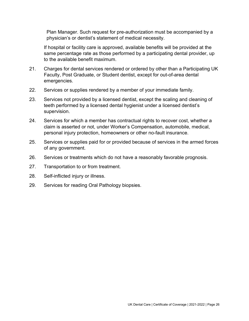Plan Manager. Such request for pre-authorization must be accompanied by a physician's or dentist's statement of medical necessity.

If hospital or facility care is approved, available benefits will be provided at the same percentage rate as those performed by a participating dental provider, up to the available benefit maximum.

- 21. Charges for dental services rendered or ordered by other than a Participating UK Faculty, Post Graduate, or Student dentist, except for out-of-area dental emergencies.
- 22. Services or supplies rendered by a member of your immediate family.
- 23. Services not provided by a licensed dentist, except the scaling and cleaning of teeth performed by a licensed dental hygienist under a licensed dentist's supervision.
- 24. Services for which a member has contractual rights to recover cost, whether a claim is asserted or not, under Worker's Compensation, automobile, medical, personal injury protection, homeowners or other no-fault insurance.
- 25. Services or supplies paid for or provided because of services in the armed forces of any government.
- 26. Services or treatments which do not have a reasonably favorable prognosis.
- 27. Transportation to or from treatment.
- 28. Self-inflicted injury or illness.
- 29. Services for reading Oral Pathology biopsies.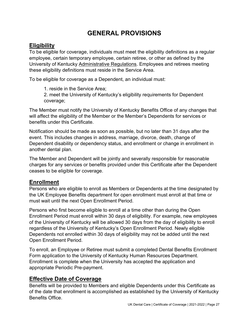# GENERAL PROVISIONS

# **Eligibility**

To be eligible for coverage, individuals must meet the eligibility definitions as a regular employee, certain temporary employee, certain retiree, or other as defined by the University of Kentucky Administrative Regulations. Employees and retirees meeting these eligibility definitions must reside in the Service Area.

To be eligible for coverage as a Dependent, an individual must:

1. reside in the Service Area;

2. meet the University of Kentucky's eligibility requirements for Dependent coverage;

The Member must notify the University of Kentucky Benefits Office of any changes that will affect the eligibility of the Member or the Member's Dependents for services or benefits under this Certificate.

Notification should be made as soon as possible, but no later than 31 days after the event. This includes changes in address, marriage, divorce, death, change of Dependent disability or dependency status, and enrollment or change in enrollment in another dental plan.

The Member and Dependent will be jointly and severally responsible for reasonable charges for any services or benefits provided under this Certificate after the Dependent ceases to be eligible for coverage.

## **Enrollment**

Persons who are eligible to enroll as Members or Dependents at the time designated by the UK Employee Benefits department for open enrollment must enroll at that time or must wait until the next Open Enrollment Period.

Persons who first become eligible to enroll at a time other than during the Open Enrollment Period must enroll within 30 days of eligibility. For example, new employees of the University of Kentucky will be allowed 30 days from the day of eligibility to enroll regardless of the University of Kentucky's Open Enrollment Period. Newly eligible Dependents not enrolled within 30 days of eligibility may not be added until the next Open Enrollment Period.

To enroll, an Employee or Retiree must submit a completed Dental Benefits Enrollment Form application to the University of Kentucky Human Resources Department. Enrollment is complete when the University has accepted the application and appropriate Periodic Pre-payment.

# Effective Date of Coverage

Benefits will be provided to Members and eligible Dependents under this Certificate as of the date that enrollment is accomplished as established by the University of Kentucky Benefits Office.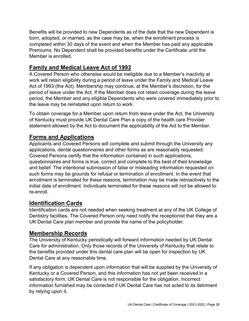Benefits will be provided to new Dependents as of the date that the new Dependent is born, adopted, or married, as the case may be, when the enrollment process is completed within 30 days of the event and when the Member has paid any applicable Premiums. No Dependent shall be provided benefits under the Certificate until the Member is enrolled.

# Family and Medical Leave Act of 1993

A Covered Person who otherwise would be ineligible due to a Member's inactivity at work will retain eligibility during a period of leave under the Family and Medical Leave Act of 1993 (the Act). Membership may continue, at the Member's discretion, for the period of leave under the Act. If the Member does not retain coverage during the leave period, the Member and any eligible Dependents who were covered immediately prior to the leave may be reinstated upon return to work.

To obtain coverage for a Member upon return from leave under the Act, the University of Kentucky must provide UK Dental Care Plan a copy of the health care Provider statement allowed by the Act to document the applicability of the Act to the Member.

# Forms and Applications

Applicants and Covered Persons will complete and submit through the University any applications, dental questionnaires and other forms as are reasonably requested. Covered Persons certify that the information contained in such applications, questionnaires and forms is true, correct and complete to the best of their knowledge and belief. The intentional submission of false or misleading information requested on such forms may be grounds for refusal or termination of enrollment. In the event that enrollment is terminated for these reasons, termination may be made retroactively to the initial date of enrollment. Individuals terminated for these reasons will not be allowed to re-enroll.

## Identification Cards

Identification cards are not needed when seeking treatment at any of the UK College of Dentistry facilities. The Covered Person only need notify the receptionist that they are a UK Dental Care plan member and provide the name of the policyholder.

### Membership Records

The University of Kentucky periodically will forward information needed by UK Dental Care for administration. Only those records of the University of Kentucky that relate to the benefits provided under this dental care plan will be open for inspection by UK Dental Care at any reasonable time.

If any obligation is dependent upon information that will be supplied by the University of Kentucky or a Covered Person, and this information has not yet been received in a satisfactory form, UK Dental Care is not responsible for the obligation. Incorrect information furnished may be corrected if UK Dental Care has not acted to its detriment by relying upon it.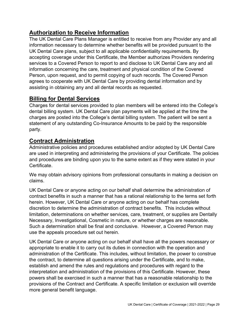# Authorization to Receive Information

The UK Dental Care Plans Manager is entitled to receive from any Provider any and all information necessary to determine whether benefits will be provided pursuant to the UK Dental Care plans, subject to all applicable confidentiality requirements. By accepting coverage under this Certificate, the Member authorizes Providers rendering services to a Covered Person to report to and disclose to UK Dental Care any and all information concerning the care, treatment and physical condition of the Covered Person, upon request, and to permit copying of such records. The Covered Person agrees to cooperate with UK Dental Care by providing dental information and by assisting in obtaining any and all dental records as requested.

# Billing for Dental Services

Charges for dental services provided to plan members will be entered into the College's dental billing system. UK Dental Care plan payments will be applied at the time the charges are posted into the College's dental billing system. The patient will be sent a statement of any outstanding Co-Insurance Amounts to be paid by the responsible party.

# Contract Administration

Administrative policies and procedures established and/or adopted by UK Dental Care are used in interpreting and administering the provisions of your Certificate. The policies and procedures are binding upon you to the same extent as if they were stated in your Certificate.

We may obtain advisory opinions from professional consultants in making a decision on claims.

UK Dental Care or anyone acting on our behalf shall determine the administration of contract benefits in such a manner that has a rational relationship to the terms set forth herein. However, UK Dental Care or anyone acting on our behalf has complete discretion to determine the administration of contract benefits. This includes without limitation, determinations on whether services, care, treatment, or supplies are Dentally Necessary, Investigational, Cosmetic in nature, or whether charges are reasonable. Such a determination shall be final and conclusive. However, a Covered Person may use the appeals procedure set out herein.

UK Dental Care or anyone acting on our behalf shall have all the powers necessary or appropriate to enable it to carry out its duties in connection with the operation and administration of the Certificate. This includes, without limitation, the power to construe the contract, to determine all questions arising under the Certificate, and to make, establish and amend the rules and regulations and procedures with regard to the interpretation and administration of the provisions of this Certificate. However, these powers shall be exercised in such a manner that has a reasonable relationship to the provisions of the Contract and Certificate. A specific limitation or exclusion will override more general benefit language.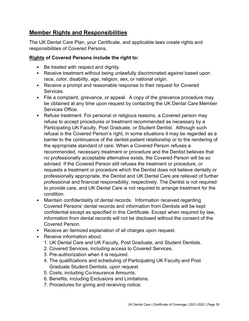## Member Rights and Responsibilities

The UK Dental Care Plan, your Certificate, and applicable laws create rights and responsibilities of Covered Persons.

### Rights of Covered Persons include the right to:

- Be treated with respect and dignity.
- Receive treatment without being unlawfully discriminated against based upon race, color, disability, age, religion, sex, or national origin.
- Receive a prompt and reasonable response to their request for Covered Services.
- File a complaint, grievance, or appeal. A copy of the grievance procedure may be obtained at any time upon request by contacting the UK Dental Care Member Services Office.
- Refuse treatment. For personal or religious reasons, a Covered person may refuse to accept procedures or treatment recommended as necessary by a Participating UK Faculty, Post Graduate, or Student Dentist. Although such refusal is the Covered Person's right, in some situations it may be regarded as a barrier to the continuance of the dentist-patient relationship or to the rendering of the appropriate standard of care. When a Covered Person refuses a recommended, necessary treatment or procedure and the Dentist believes that no professionally acceptable alternative exists, the Covered Person will be so advised. If the Covered Person still refuses the treatment or procedure, or requests a treatment or procedure which the Dentist does not believe dentally or professionally appropriate, the Dentist and UK Dental Care are relieved of further professional and financial responsibility, respectively. The Dentist is not required to provide care, and UK Dental Care is not required to arrange treatment for the condition.
- Maintain confidentiality of dental records. Information received regarding Covered Persons' dental records and information from Dentists will be kept confidential except as specified in this Certificate. Except when required by law, information from dental records will not be disclosed without the consent of the Covered Person.
- Receive an itemized explanation of all charges upon request.
- Receive information about:
	- 1. UK Dental Care and UK Faculty, Post Graduate, and Student Dentists.
	- 2. Covered Services, including access to Covered Services.
	- 3. Pre-authorization when it is required.
	- 4. The qualifications and scheduling of Participating UK Faculty and Post Graduate Student Dentists, upon request.
	- 5. Costs, including Co-insurance Amounts.
	- 6. Benefits, including Exclusions and Limitations.
	- 7. Procedures for giving and receiving notice.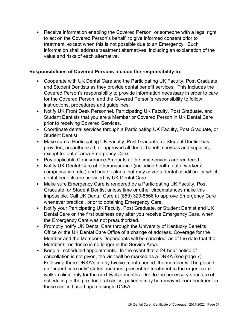• Receive information enabling the Covered Person, or someone with a legal right to act on the Covered Person's behalf, to give informed consent prior to treatment, except when this is not possible due to an Emergency. Such information shall address treatment alternatives, including an explanation of the value and risks of each alternative.

### Responsibilities of Covered Persons include the responsibility to:

- Cooperate with UK Dental Care and the Participating UK Faculty, Post Graduate, and Student Dentists as they provide dental benefit services. This includes the Covered Person's responsibility to provide information necessary in order to care for the Covered Person, and the Covered Person's responsibility to follow instructions, procedures and guidelines.
- Notify UK Front Desk Personnel, Participating UK Faculty, Post Graduate, and Student Dentists that you are a Member or Covered Person in UK Dental Care prior to receiving Covered Services.
- Coordinate dental services through a Participating UK Faculty, Post Graduate, or Student Dentist.
- Make sure a Participating UK Faculty, Post Graduate, or Student Dentist has provided, preauthorized, or approved all dental benefit services and supplies, except for out of area Emergency Care.
- Pay applicable Co-insurance Amounts at the time services are rendered.
- Notify UK Dental Care of other insurance (including health, auto, workers' compensation, etc.) and benefit plans that may cover a dental condition for which dental benefits are provided by UK Dental Care.
- Make sure Emergency Care is rendered by a Participating UK Faculty, Post Graduate, or Student Dentist unless time or other circumstances make this impossible. Call UK Dental Care at (859) 323-8566 to approve Emergency Care whenever practical, prior to obtaining Emergency Care.
- Notify your Participating UK Faculty, Post Graduate, or Student Dentist and UK Dental Care on the first business day after you receive Emergency Care, when the Emergency Care was not preauthorized.
- Promptly notify UK Dental Care through the University of Kentucky Benefits Office or the UK Dental Care Office of a change of address. Coverage for the Member and the Member's Dependents will be canceled, as of the date that the Member's residence is no longer in the Service Area.
- Keep all scheduled appointments. In the event that a 24-hour notice of cancellation is not given, the visit will be marked as a DNKA (see page 7). Following three DNKA's in any twelve-month period, the member will be placed on "urgent care only" status and must present for treatment to the urgent care walk-in clinic only for the next twelve months. Due to the necessary structure of scheduling in the pre-doctoral clinics, patients may be removed from treatment in those clinics based upon a single DNKA.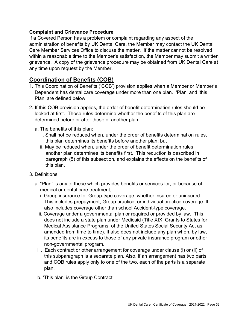#### Complaint and Grievance Procedure

If a Covered Person has a problem or complaint regarding any aspect of the administration of benefits by UK Dental Care, the Member may contact the UK Dental Care Member Services Office to discuss the matter. If the matter cannot be resolved within a reasonable time to the Member's satisfaction, the Member may submit a written grievance. A copy of the grievance procedure may be obtained from UK Dental Care at any time upon request by the Member.

## Coordination of Benefits (COB)

- 1. This Coordination of Benefits ('COB') provision applies when a Member or Member's Dependent has dental care coverage under more than one plan. 'Plan' and 'this Plan' are defined below.
- 2. If this COB provision applies, the order of benefit determination rules should be looked at first. Those rules determine whether the benefits of this plan are determined before or after those of another plan.
	- a. The benefits of this plan:
		- i. Shall not be reduced when, under the order of benefits determination rules, this plan determines its benefits before another plan; but
		- ii. May be reduced when, under the order of benefit determination rules, another plan determines its benefits first. This reduction is described in paragraph (5) of this subsection, and explains the effects on the benefits of this plan.
- 3. Definitions
	- a. "Plan" is any of these which provides benefits or services for, or because of, medical or dental care treatment,
		- i. Group insurance for Group-type coverage, whether insured or uninsured. This includes prepayment, Group practice, or individual practice coverage. It also includes coverage other than school Accident-type coverage.
		- ii. Coverage under a governmental plan or required or provided by law. This does not include a state plan under Medicaid (Title XIX, Grants to States for Medical Assistance Programs, of the United States Social Security Act as amended from time to time). It also does not include any plan when, by law, its benefits are in excess to those of any private insurance program or other non-governmental program.
		- iii. Each contract or other arrangement for coverage under clause (i) or (ii) of this subparagraph is a separate plan. Also, if an arrangement has two parts and COB rules apply only to one of the two, each of the parts is a separate plan.
		- b. 'This plan' is the Group Contract.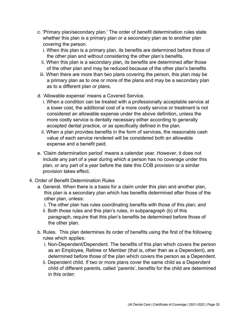- c. 'Primary plan/secondary plan.' The order of benefit determination rules state whether this plan is a primary plan or a secondary plan as to another plan covering the person.
	- i. When this plan is a primary plan, its benefits are determined before those of the other plan and without considering the other plan's benefits.
	- ii. When this plan is a secondary plan, its benefits are determined after those of the other plan and may be reduced because of the other plan's benefits
- iii. When there are more than two plans covering the person, this plan may be a primary plan as to one or more of the plans and may be a secondary plan as to a different plan or plans.
- d. 'Allowable expense' means a Covered Service.
	- i. When a condition can be treated with a professionally acceptable service at a lower cost, the additional cost of a more costly service or treatment is not considered an allowable expense under the above definition, unless the more costly service is dentally necessary either according to generally accepted dental practice, or as specifically defined in the plan.
	- ii. When a plan provides benefits in the form of services, the reasonable cash value of each service rendered will be considered both an allowable expense and a benefit paid.
- e. 'Claim determination period' means a calendar year. However, it does not include any part of a year during which a person has no coverage under this plan, or any part of a year before the date this COB provision or a similar provision takes effect.
- 4. Order of Benefit Determination Rules
	- a. General. When there is a basis for a claim under this plan and another plan, this plan is a secondary plan which has benefits determined after those of the other plan, unless:
		- i. The other plan has rules coordinating benefits with those of this plan; and
		- ii. Both those rules and this plan's rules, in subparagraph (b) of this paragraph, require that this plan's benefits be determined before those of the other plan.
	- b. Rules. This plan determines its order of benefits using the first of the following rules which applies:
		- i. Non-Dependent/Dependent. The benefits of this plan which covers the person as an Employee, Retiree or Member (that is, other than as a Dependent), are determined before those of the plan which covers the person as a Dependent.
		- ii. Dependent child. If two or more plans cover the same child as a Dependent child of different parents, called 'parents', benefits for the child are determined in this order: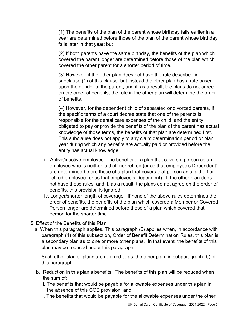(1) The benefits of the plan of the parent whose birthday falls earlier in a year are determined before those of the plan of the parent whose birthday falls later in that year; but

(2) If both parents have the same birthday, the benefits of the plan which covered the parent longer are determined before those of the plan which covered the other parent for a shorter period of time.

(3) However, if the other plan does not have the rule described in subclause (1) of this clause, but instead the other plan has a rule based upon the gender of the parent, and if, as a result, the plans do not agree on the order of benefits, the rule in the other plan will determine the order of benefits.

(4) However, for the dependent child of separated or divorced parents, if the specific terms of a court decree state that one of the parents is responsible for the dental care expenses of the child, and the entity obligated to pay or provide the benefits of the plan of the parent has actual knowledge of those terms, the benefits of that plan are determined first. This subclause does not apply to any claim determination period or plan year during which any benefits are actually paid or provided before the entity has actual knowledge.

- iii. Active/inactive employee. The benefits of a plan that covers a person as an employee who is neither laid off nor retired (or as that employee's Dependent) are determined before those of a plan that covers that person as a laid off or retired employee (or as that employee's Dependent). If the other plan does not have these rules, and if, as a result, the plans do not agree on the order of benefits, this provision is ignored.
- iv. Longer/shorter length of coverage. If none of the above rules determines the order of benefits, the benefits of the plan which covered a Member or Covered Person longer are determined before those of a plan which covered that person for the shorter time.
- 5. Effect of the Benefits of this Plan
	- a. When this paragraph applies. This paragraph (5) applies when, in accordance with paragraph (4) of this subsection, Order of Benefit Determination Rules, this plan is a secondary plan as to one or more other plans. In that event, the benefits of this plan may be reduced under this paragraph.

 Such other plan or plans are referred to as 'the other plan' in subparagraph (b) of this paragraph.

- b. Reduction in this plan's benefits. The benefits of this plan will be reduced when the sum of:
	- i. The benefits that would be payable for allowable expenses under this plan in the absence of this COB provision; and
	- ii. The benefits that would be payable for the allowable expenses under the other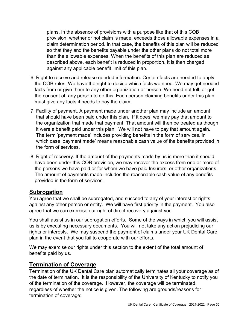plans, in the absence of provisions with a purpose like that of this COB provision, whether or not claim is made, exceeds those allowable expenses in a claim determination period. In that case, the benefits of this plan will be reduced so that they and the benefits payable under the other plans do not total more than the allowable expenses. When the benefits of this plan are reduced as described above, each benefit is reduced in proportion. It is then charged against any applicable benefit limit of this plan.

- 6. Right to receive and release needed information. Certain facts are needed to apply the COB rules. We have the right to decide which facts we need. We may get needed facts from or give them to any other organization or person. We need not tell, or get the consent of, any person to do this. Each person claiming benefits under this plan must give any facts it needs to pay the claim.
- 7. Facility of payment. A payment made under another plan may include an amount that should have been paid under this plan. If it does, we may pay that amount to the organization that made that payment. That amount will then be treated as though it were a benefit paid under this plan. We will not have to pay that amount again. The term 'payment made' includes providing benefits in the form of services, in which case 'payment made' means reasonable cash value of the benefits provided in the form of services.
- 8. Right of recovery. If the amount of the payments made by us is more than it should have been under this COB provision, we may recover the excess from one or more of the persons we have paid or for whom we have paid Insurers, or other organizations. The amount of payments made includes the reasonable cash value of any benefits provided in the form of services.

## **Subrogation**

You agree that we shall be subrogated, and succeed to any of your interest or rights against any other person or entity. We will have first priority in the payment. You also agree that we can exercise our right of direct recovery against you.

You shall assist us in our subrogation efforts. Some of the ways in which you will assist us is by executing necessary documents. You will not take any action prejudicing our rights or interests. We may suspend the payment of claims under your UK Dental Care plan in the event that you fail to cooperate with our efforts.

We may exercise our rights under this section to the extent of the total amount of benefits paid by us.

## Termination of Coverage

Termination of the UK Dental Care plan automatically terminates all your coverage as of the date of termination. It is the responsibility of the University of Kentucky to notify you of the termination of the coverage. However, the coverage will be terminated, regardless of whether the notice is given. The following are grounds/reasons for termination of coverage: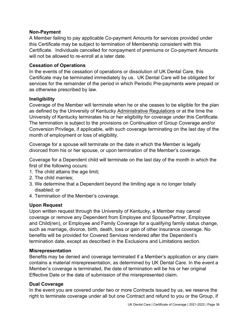#### Non-Payment

A Member failing to pay applicable Co-payment Amounts for services provided under this Certificate may be subject to termination of Membership consistent with this Certificate. Individuals cancelled for nonpayment of premiums or Co-payment Amounts will not be allowed to re-enroll at a later date.

#### Cessation of Operations

In the events of the cessation of operations or dissolution of UK Dental Care, this Certificate may be terminated immediately by us. UK Dental Care will be obligated for services for the remainder of the period in which Periodic Pre-payments were prepaid or as otherwise prescribed by law.

#### Ineligibility

Coverage of the Member will terminate when he or she ceases to be eligible for the plan as defined by the University of Kentucky Administrative Regulations or at the time the University of Kentucky terminates his or her eligibility for coverage under this Certificate. The termination is subject to the provisions on Continuation of Group Coverage and/or Conversion Privilege, if applicable, with such coverage terminating on the last day of the month of employment or loss of eligibility.

Coverage for a spouse will terminate on the date in which the Member is legally divorced from his or her spouse, or upon termination of the Member's coverage.

Coverage for a Dependent child will terminate on the last day of the month in which the first of the following occurs:

- 1. The child attains the age limit;
- 2. The child marries;
- 3. We determine that a Dependent beyond the limiting age is no longer totally disabled; or
- 4. Termination of the Member's coverage.

### Upon Request

Upon written request through the University of Kentucky, a Member may cancel coverage or remove any Dependent from Employee and Spouse/Partner, Employee and Child(ren), or Employee and Family Coverage for a qualifying family status change, such as marriage, divorce, birth, death, loss or gain of other insurance coverage. No benefits will be provided for Covered Services rendered after the Dependent's termination date, except as described in the Exclusions and Limitations section.

#### Misrepresentation

Benefits may be denied and coverage terminated if a Member's application or any claim contains a material misrepresentation, as determined by UK Dental Care. In the event a Member's coverage is terminated, the date of termination will be his or her original Effective Date or the date of submission of the misrepresented claim.

#### Dual Coverage

In the event you are covered under two or more Contracts issued by us, we reserve the right to terminate coverage under all but one Contract and refund to you or the Group, if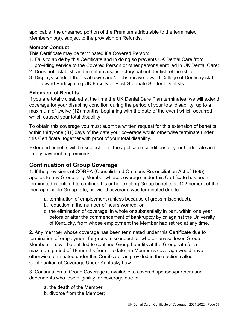applicable, the unearned portion of the Premium attributable to the terminated Membership(s), subject to the provision on Refunds.

### Member Conduct

This Certificate may be terminated if a Covered Person:

- 1. Fails to abide by this Certificate and in doing so prevents UK Dental Care from providing service to the Covered Person or other persons enrolled in UK Dental Care;
- 2. Does not establish and maintain a satisfactory patient-dentist relationship;
- 3. Displays conduct that is abusive and/or obstructive toward College of Dentistry staff or toward Participating UK Faculty or Post Graduate Student Dentists.

### Extension of Benefits

If you are totally disabled at the time the UK Dental Care Plan terminates, we will extend coverage for your disabling condition during the period of your total disability, up to a maximum of twelve (12) months, beginning with the date of the event which occurred which caused your total disability.

To obtain this coverage you must submit a written request for this extension of benefits within thirty-one (31) days of the date your coverage would otherwise terminate under this Certificate, together with proof of your total disability.

Extended benefits will be subject to all the applicable conditions of your Certificate and timely payment of premiums.

## Continuation of Group Coverage

1. If the provisions of COBRA (Consolidated Omnibus Reconciliation Act of 1985) applies to any Group, any Member whose coverage under this Certificate has been terminated is entitled to continue his or her existing Group benefits at 102 percent of the then applicable Group rate, provided coverage was terminated due to:

- a. termination of employment (unless because of gross misconduct),
- b. reduction in the number of hours worked, or
- c. the elimination of coverage, in whole or substantially in part, within one year before or after the commencement of bankruptcy by or against the University of Kentucky, from whose employment the Member had retired at any time.

2. Any member whose coverage has been terminated under this Certificate due to termination of employment for gross misconduct, or who otherwise loses Group Membership, will be entitled to continue Group benefits at the Group rate for a maximum period of 18 months from the date the Member's coverage would have otherwise terminated under this Certificate, as provided in the section called Continuation of Coverage Under Kentucky Law.

3. Continuation of Group Coverage is available to covered spouses/partners and dependents who lose eligibility for coverage due to:

- a. the death of the Member;
- b. divorce from the Member;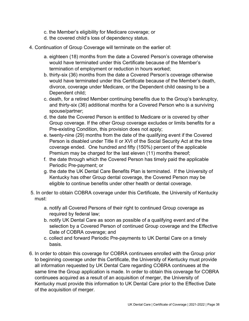- c. the Member's eligibility for Medicare coverage; or
- d. the covered child's loss of dependency status.
- 4. Continuation of Group Coverage will terminate on the earlier of:
	- a. eighteen (18) months from the date a Covered Person's coverage otherwise would have terminated under this Certificate because of the Member's termination of employment or reduction in hours worked;
	- b. thirty-six (36) months from the date a Covered Person's coverage otherwise would have terminated under this Certificate because of the Member's death, divorce, coverage under Medicare, or the Dependent child ceasing to be a Dependent child;
	- c. death, for a retired Member continuing benefits due to the Group's bankruptcy, and thirty-six (36) additional months for a Covered Person who is a surviving spouse/partner;
	- d. the date the Covered Person is entitled to Medicare or is covered by other Group coverage. If the other Group coverage excludes or limits benefits for a Pre-existing Condition, this provision does not apply;
	- e. twenty-nine (29) months from the date of the qualifying event if the Covered Person is disabled under Title II or XVI of the Social Security Act at the time coverage ended. One hundred and fifty (150%) percent of the applicable Premium may be charged for the last eleven (11) months thereof;
	- f. the date through which the Covered Person has timely paid the applicable Periodic Pre-payment; or
	- g. the date the UK Dental Care Benefits Plan is terminated. If the University of Kentucky has other Group dental coverage, the Covered Person may be eligible to continue benefits under other health or dental coverage.
- 5. In order to obtain COBRA coverage under this Certificate, the University of Kentucky must:
	- a. notify all Covered Persons of their right to continued Group coverage as required by federal law;
	- b. notify UK Dental Care as soon as possible of a qualifying event and of the selection by a Covered Person of continued Group coverage and the Effective Date of COBRA coverage; and
	- c. collect and forward Periodic Pre-payments to UK Dental Care on a timely basis.
- 6. In order to obtain this coverage for COBRA continuees enrolled with the Group prior to beginning coverage under this Certificate, the University of Kentucky must provide all information requested by UK Dental Care regarding COBRA continuees at the same time the Group application is made. In order to obtain this coverage for COBRA continuees acquired as a result of an acquisition of merger, the University of Kentucky must provide this information to UK Dental Care prior to the Effective Date of the acquisition of merger.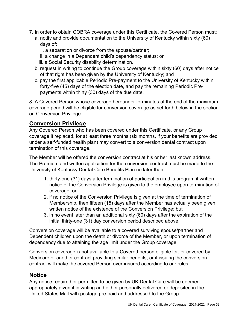- 7. In order to obtain COBRA coverage under this Certificate, the Covered Person must:
	- a. notify and provide documentation to the University of Kentucky within sixty (60) days of:
		- i. a separation or divorce from the spouse/partner;
		- ii. a change in a Dependent child's dependency status; or
		- iii. a Social Security disability determination.
	- b. request in writing to continue the Group coverage within sixty (60) days after notice of that right has been given by the University of Kentucky; and
	- c. pay the first applicable Periodic Pre-payment to the University of Kentucky within forty-five (45) days of the election date, and pay the remaining Periodic Pre payments within thirty (30) days of the due date.

8. A Covered Person whose coverage hereunder terminates at the end of the maximum coverage period will be eligible for conversion coverage as set forth below in the section on Conversion Privilege.

# Conversion Privilege

Any Covered Person who has been covered under this Certificate, or any Group coverage it replaced, for at least three months (six months, if your benefits are provided under a self-funded health plan) may convert to a conversion dental contract upon termination of this coverage.

The Member will be offered the conversion contract at his or her last known address. The Premium and written application for the conversion contract must be made to the University of Kentucky Dental Care Benefits Plan no later than:

- 1. thirty-one (31) days after termination of participation in this program if written notice of the Conversion Privilege is given to the employee upon termination of coverage; or
- 2. if no notice of the Conversion Privilege is given at the time of termination of Membership, then fifteen (15) days after the Member has actually been given written notice of the existence of the Conversion Privilege; but
- 3. in no event later than an additional sixty (60) days after the expiration of the initial thirty-one (31) day conversion period described above.

Conversion coverage will be available to a covered surviving spouse/partner and Dependent children upon the death or divorce of the Member, or upon termination of dependency due to attaining the age limit under the Group coverage.

Conversion coverage is not available to a Covered person eligible for, or covered by, Medicare or another contract providing similar benefits, or if issuing the conversion contract will make the covered Person over-insured according to our rules.

# Notice

Any notice required or permitted to be given by UK Dental Care will be deemed appropriately given if in writing and either personally delivered or deposited in the United States Mail with postage pre-paid and addressed to the Group.